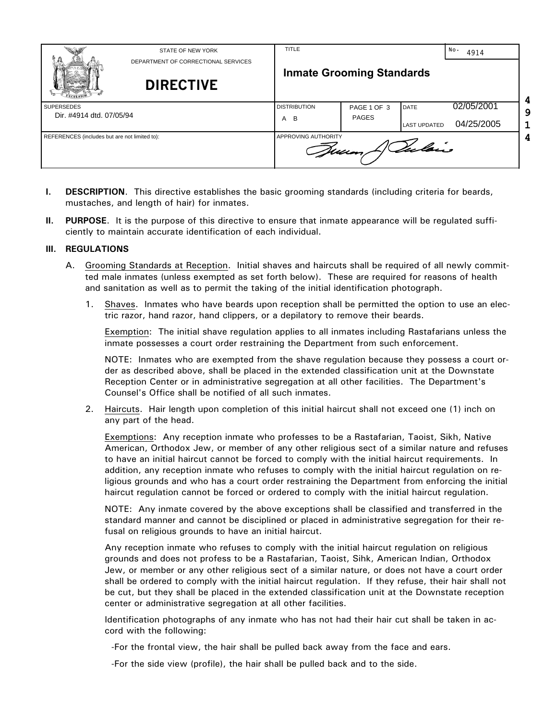|                                               | STATE OF NEW YORK<br>DEPARTMENT OF CORRECTIONAL SERVICES<br><b>DIRECTIVE</b> | <b>TITLE</b>                          | <b>Inmate Grooming Standards</b> |                                    | No.<br>4914              |
|-----------------------------------------------|------------------------------------------------------------------------------|---------------------------------------|----------------------------------|------------------------------------|--------------------------|
| <b>SUPERSEDES</b><br>Dir. #4914 dtd. 07/05/94 |                                                                              | <b>DISTRIBUTION</b><br>A B            | PAGE 1 OF 3<br><b>PAGES</b>      | <b>DATE</b><br><b>LAST UPDATED</b> | 02/05/2001<br>04/25/2005 |
| REFERENCES (includes but are not limited to): |                                                                              | APPROVING AUTHORITY<br>Valois<br>Jun, |                                  |                                    |                          |

- **I. DESCRIPTION**. This directive establishes the basic grooming standards (including criteria for beards, mustaches, and length of hair) for inmates.
- **II. PURPOSE**. It is the purpose of this directive to ensure that inmate appearance will be regulated sufficiently to maintain accurate identification of each individual.

## **III. REGULATIONS**

- A. Grooming Standards at Reception. Initial shaves and haircuts shall be required of all newly committed male inmates (unless exempted as set forth below). These are required for reasons of health and sanitation as well as to permit the taking of the initial identification photograph.
	- 1. Shaves. Inmates who have beards upon reception shall be permitted the option to use an electric razor, hand razor, hand clippers, or a depilatory to remove their beards.

Exemption: The initial shave regulation applies to all inmates including Rastafarians unless the inmate possesses a court order restraining the Department from such enforcement.

NOTE: Inmates who are exempted from the shave regulation because they possess a court order as described above, shall be placed in the extended classification unit at the Downstate Reception Center or in administrative segregation at all other facilities. The Department's Counsel's Office shall be notified of all such inmates.

2. Haircuts. Hair length upon completion of this initial haircut shall not exceed one (1) inch on any part of the head.

Exemptions: Any reception inmate who professes to be a Rastafarian, Taoist, Sikh, Native American, Orthodox Jew, or member of any other religious sect of a similar nature and refuses to have an initial haircut cannot be forced to comply with the initial haircut requirements. In addition, any reception inmate who refuses to comply with the initial haircut regulation on religious grounds and who has a court order restraining the Department from enforcing the initial haircut regulation cannot be forced or ordered to comply with the initial haircut regulation.

NOTE: Any inmate covered by the above exceptions shall be classified and transferred in the standard manner and cannot be disciplined or placed in administrative segregation for their refusal on religious grounds to have an initial haircut.

Any reception inmate who refuses to comply with the initial haircut regulation on religious grounds and does not profess to be a Rastafarian, Taoist, Sihk, American Indian, Orthodox Jew, or member or any other religious sect of a similar nature, or does not have a court order shall be ordered to comply with the initial haircut regulation. If they refuse, their hair shall not be cut, but they shall be placed in the extended classification unit at the Downstate reception center or administrative segregation at all other facilities.

Identification photographs of any inmate who has not had their hair cut shall be taken in accord with the following:

-For the frontal view, the hair shall be pulled back away from the face and ears.

-For the side view (profile), the hair shall be pulled back and to the side.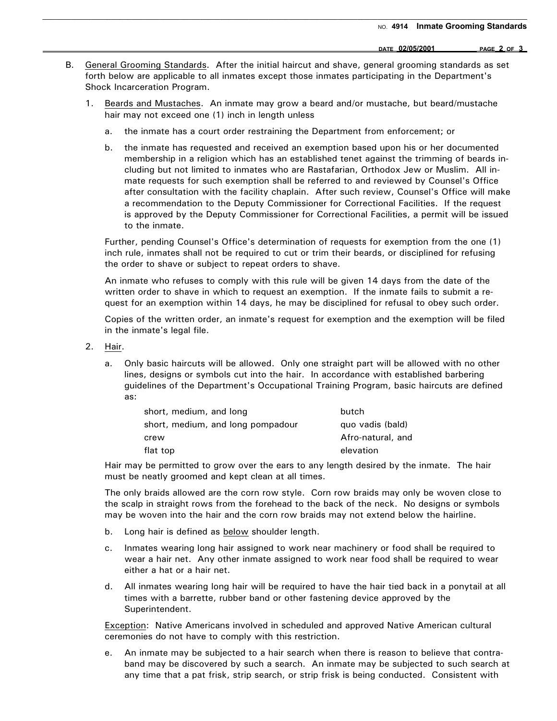**DATE 02/05/2001 PAGE 2 OF 3** 

B. General Grooming Standards. After the initial haircut and shave, general grooming standards as set forth below are applicable to all inmates except those inmates participating in the Department's Shock Incarceration Program.

\_\_\_\_\_\_\_\_\_\_\_\_\_\_\_\_\_\_\_\_\_\_\_\_\_\_\_\_\_\_\_\_\_\_\_\_\_\_\_\_\_\_\_\_\_\_\_\_\_\_\_\_\_\_\_\_\_\_\_\_\_\_\_\_\_\_\_\_\_\_\_\_\_\_\_\_\_\_\_\_\_\_\_\_\_\_\_\_\_\_\_\_\_\_\_\_\_\_\_\_\_\_\_\_\_\_\_\_\_\_\_\_\_\_\_\_\_\_\_\_

- 1. Beards and Mustaches. An inmate may grow a beard and/or mustache, but beard/mustache hair may not exceed one (1) inch in length unless
	- a. the inmate has a court order restraining the Department from enforcement; or
	- b. the inmate has requested and received an exemption based upon his or her documented membership in a religion which has an established tenet against the trimming of beards including but not limited to inmates who are Rastafarian, Orthodox Jew or Muslim. All inmate requests for such exemption shall be referred to and reviewed by Counsel's Office after consultation with the facility chaplain. After such review, Counsel's Office will make a recommendation to the Deputy Commissioner for Correctional Facilities. If the request is approved by the Deputy Commissioner for Correctional Facilities, a permit will be issued to the inmate.

Further, pending Counsel's Office's determination of requests for exemption from the one (1) inch rule, inmates shall not be required to cut or trim their beards, or disciplined for refusing the order to shave or subject to repeat orders to shave.

An inmate who refuses to comply with this rule will be given 14 days from the date of the written order to shave in which to request an exemption. If the inmate fails to submit a request for an exemption within 14 days, he may be disciplined for refusal to obey such order.

Copies of the written order, an inmate's request for exemption and the exemption will be filed in the inmate's legal file.

- 2. Hair.
	- a. Only basic haircuts will be allowed. Only one straight part will be allowed with no other lines, designs or symbols cut into the hair. In accordance with established barbering guidelines of the Department's Occupational Training Program, basic haircuts are defined as:

| short, medium, and long           | butch             |
|-----------------------------------|-------------------|
| short, medium, and long pompadour | quo vadis (bald)  |
| crew                              | Afro-natural, and |
| flat top                          | elevation         |

Hair may be permitted to grow over the ears to any length desired by the inmate. The hair must be neatly groomed and kept clean at all times.

The only braids allowed are the corn row style. Corn row braids may only be woven close to the scalp in straight rows from the forehead to the back of the neck. No designs or symbols may be woven into the hair and the corn row braids may not extend below the hairline.

- b. Long hair is defined as below shoulder length.
- c. Inmates wearing long hair assigned to work near machinery or food shall be required to wear a hair net. Any other inmate assigned to work near food shall be required to wear either a hat or a hair net.
- d. All inmates wearing long hair will be required to have the hair tied back in a ponytail at all times with a barrette, rubber band or other fastening device approved by the Superintendent.

Exception: Native Americans involved in scheduled and approved Native American cultural ceremonies do not have to comply with this restriction.

e. An inmate may be subjected to a hair search when there is reason to believe that contraband may be discovered by such a search. An inmate may be subjected to such search at any time that a pat frisk, strip search, or strip frisk is being conducted. Consistent with